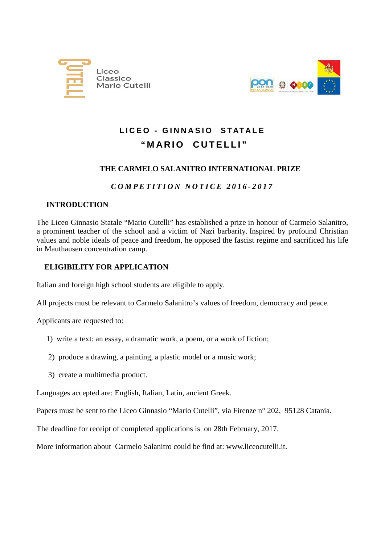



# **LICEO - GINNASIO STATALE " MARIO CUTELLI "**

## **THE CARMELO SALANITRO INTERNATIONAL PRIZE**

## *COMPETITION NOTICE 201 6 - 201 7*

## **INTRODUCTION**

The Liceo Ginnasio Statale "Mario Cutelli" has established a prize in honour of Carmelo Salanitro, a prominent teacher of the school and a victim of Nazi barbarity. Inspired by profound Christian values and noble ideals of peace and freedom, he opposed the fascist regime and sacrificed his life in Mauthausen concentration camp.

## **ELIGIBILITY FOR APPLICATION**

Italian and foreign high school students are eligible to apply.

All projects must be relevant to Carmelo Salanitro's values of freedom, democracy and peace.

Applicants are requested to:

- 1) write a text: an essay, a dramatic work, a poem, or a work of fiction;
- 2) produce a drawing, a painting, a plastic model or a music work;
- 3) create a multimedia product.

Languages accepted are: English, Italian, Latin, ancient Greek.

Papers must be sent to the Liceo Ginnasio "Mario Cutelli", via Firenze n° 202, 95128 Catania.

The deadline for receipt of completed applications is on 28th February, 2017.

More information about Carmelo Salanitro could be find at: www.liceocutelli.it.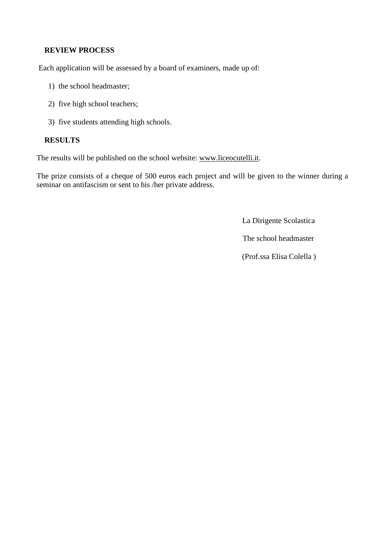#### **REVIEW PROCESS**

Each application will be assessed by a board of examiners, made up of:

- 1) the school headmaster;
- 2) five high school teachers;
- 3) five students attending high schools.

#### **RESULTS**

The results will be published on the school website: [www.liceocutelli.it.](http://www.liceocutelli.it/)

The prize consists of a cheque of 500 euros each project and will be given to the winner during a seminar on antifascism or sent to his /her private address.

La Dirigente Scolastica

The school headmaster

(Prof.ssa Elisa Colella )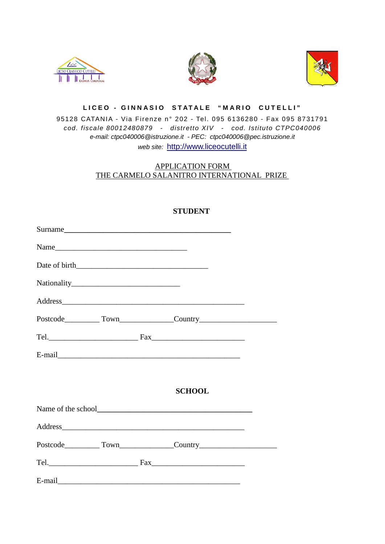





#### **LICEO - GINNASIO STATALE " MARIO CUTELLI "**

### 95128 CATANIA - Via Firenze n° 202 - Tel. 095 6136280 - Fax 095 8731791 *cod. fiscale 80012480879 - distretto XIV - cod. Istituto CTPC040006 e-mail: ctpc040006@istruzione.it - PEC: ctpc040006@pec.istruzione.it web site:* [http://www.liceocutelli.it](http://www.liceocutelli.it/)

### [APPLICATION FORM](http://80.19.250.213/liceocutelli/marano_salanitro/bando%20in%20inglese.htm)  [THE CARMELO SALANITRO INTERNATIONAL PRIZE](http://80.19.250.213/liceocutelli/marano_salanitro/bando%20in%20inglese.htm)

|  | Surname       |  |
|--|---------------|--|
|  |               |  |
|  |               |  |
|  |               |  |
|  | Address       |  |
|  |               |  |
|  |               |  |
|  |               |  |
|  |               |  |
|  | <b>SCHOOL</b> |  |
|  |               |  |
|  |               |  |
|  |               |  |
|  |               |  |
|  |               |  |

#### **STUDENT**